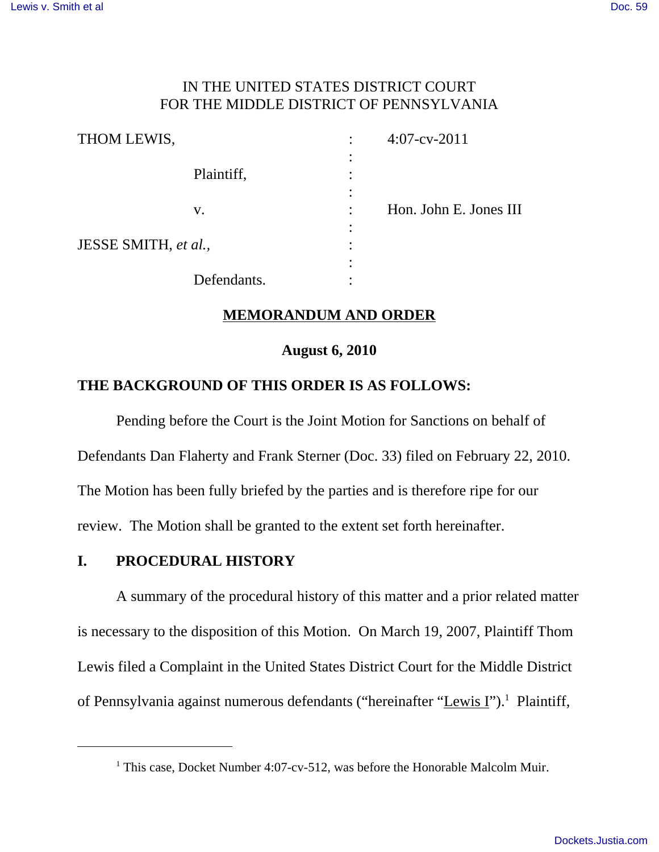## IN THE UNITED STATES DISTRICT COURT FOR THE MIDDLE DISTRICT OF PENNSYLVANIA

| THOM LEWIS,          |             |           | $4:07$ -cv-2011        |
|----------------------|-------------|-----------|------------------------|
|                      |             | $\bullet$ |                        |
|                      | Plaintiff,  |           |                        |
|                      |             |           |                        |
|                      | V.          | $\bullet$ | Hon. John E. Jones III |
|                      |             | $\bullet$ |                        |
| JESSE SMITH, et al., |             |           |                        |
|                      |             |           |                        |
|                      | Defendants. |           |                        |

## **MEMORANDUM AND ORDER**

#### **August 6, 2010**

## **THE BACKGROUND OF THIS ORDER IS AS FOLLOWS:**

Pending before the Court is the Joint Motion for Sanctions on behalf of Defendants Dan Flaherty and Frank Sterner (Doc. 33) filed on February 22, 2010. The Motion has been fully briefed by the parties and is therefore ripe for our review. The Motion shall be granted to the extent set forth hereinafter.

#### **I. PROCEDURAL HISTORY**

A summary of the procedural history of this matter and a prior related matter is necessary to the disposition of this Motion. On March 19, 2007, Plaintiff Thom Lewis filed a Complaint in the United States District Court for the Middle District of Pennsylvania against numerous defendants ("hereinafter "Lewis I").<sup>1</sup> Plaintiff,

<sup>&</sup>lt;sup>1</sup> This case, Docket Number 4:07-cv-512, was before the Honorable Malcolm Muir.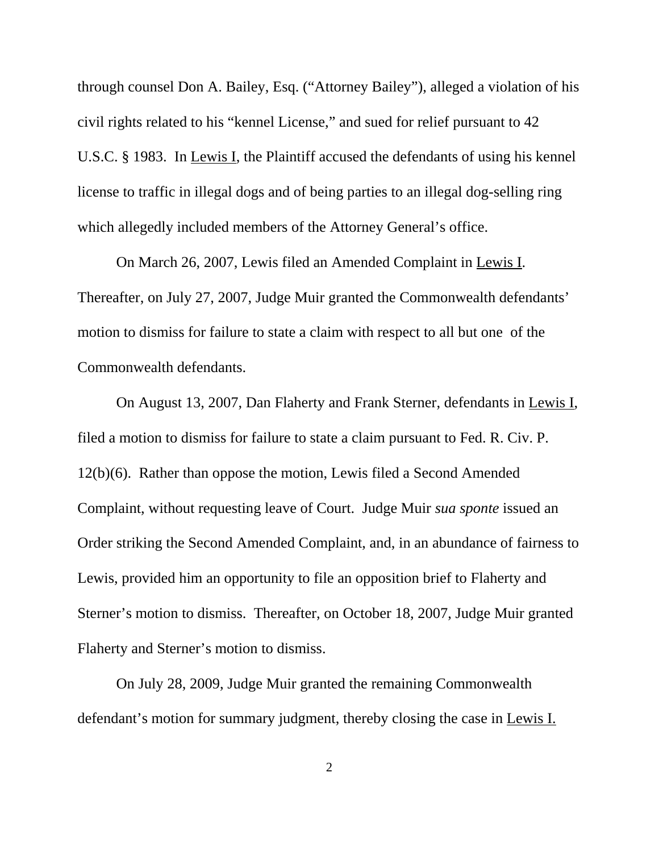through counsel Don A. Bailey, Esq. ("Attorney Bailey"), alleged a violation of his civil rights related to his "kennel License," and sued for relief pursuant to 42 U.S.C. § 1983. In Lewis I, the Plaintiff accused the defendants of using his kennel license to traffic in illegal dogs and of being parties to an illegal dog-selling ring which allegedly included members of the Attorney General's office.

On March 26, 2007, Lewis filed an Amended Complaint in Lewis I. Thereafter, on July 27, 2007, Judge Muir granted the Commonwealth defendants' motion to dismiss for failure to state a claim with respect to all but one of the Commonwealth defendants.

On August 13, 2007, Dan Flaherty and Frank Sterner, defendants in Lewis I, filed a motion to dismiss for failure to state a claim pursuant to Fed. R. Civ. P. 12(b)(6). Rather than oppose the motion, Lewis filed a Second Amended Complaint, without requesting leave of Court. Judge Muir *sua sponte* issued an Order striking the Second Amended Complaint, and, in an abundance of fairness to Lewis, provided him an opportunity to file an opposition brief to Flaherty and Sterner's motion to dismiss. Thereafter, on October 18, 2007, Judge Muir granted Flaherty and Sterner's motion to dismiss.

On July 28, 2009, Judge Muir granted the remaining Commonwealth defendant's motion for summary judgment, thereby closing the case in Lewis I.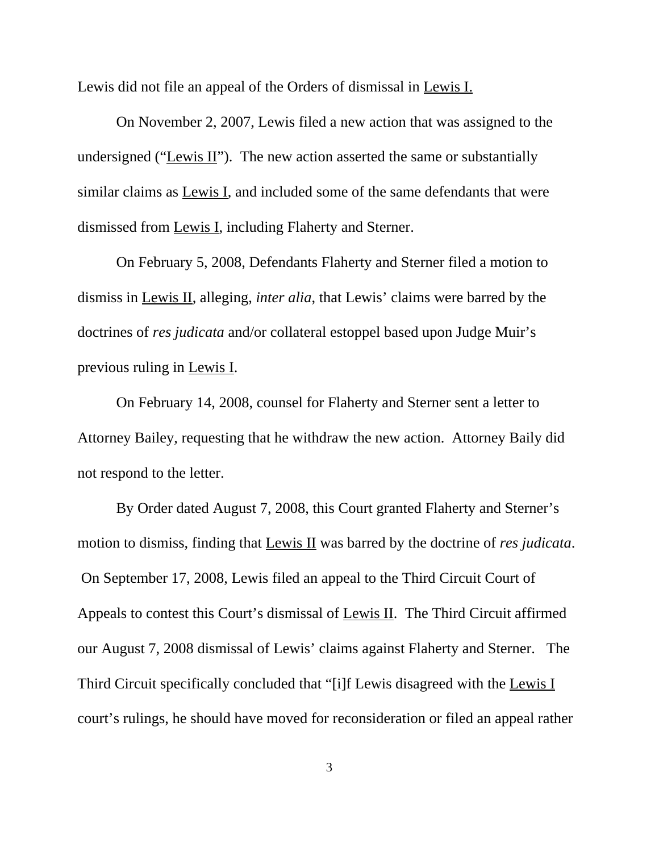Lewis did not file an appeal of the Orders of dismissal in Lewis I.

On November 2, 2007, Lewis filed a new action that was assigned to the undersigned ("Lewis II"). The new action asserted the same or substantially similar claims as Lewis I, and included some of the same defendants that were dismissed from Lewis I, including Flaherty and Sterner.

On February 5, 2008, Defendants Flaherty and Sterner filed a motion to dismiss in Lewis II, alleging, *inter alia*, that Lewis' claims were barred by the doctrines of *res judicata* and/or collateral estoppel based upon Judge Muir's previous ruling in Lewis I.

On February 14, 2008, counsel for Flaherty and Sterner sent a letter to Attorney Bailey, requesting that he withdraw the new action. Attorney Baily did not respond to the letter.

By Order dated August 7, 2008, this Court granted Flaherty and Sterner's motion to dismiss, finding that Lewis II was barred by the doctrine of *res judicata*. On September 17, 2008, Lewis filed an appeal to the Third Circuit Court of Appeals to contest this Court's dismissal of Lewis II. The Third Circuit affirmed our August 7, 2008 dismissal of Lewis' claims against Flaherty and Sterner. The Third Circuit specifically concluded that "[i]f Lewis disagreed with the Lewis I court's rulings, he should have moved for reconsideration or filed an appeal rather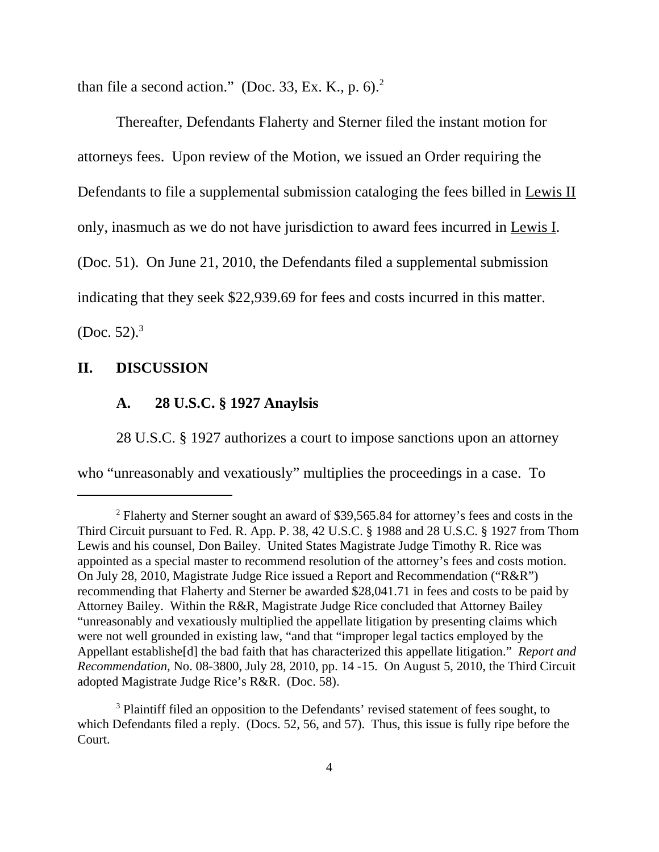than file a second action." (Doc. 33, Ex. K., p.  $6$ ).<sup>2</sup>

Thereafter, Defendants Flaherty and Sterner filed the instant motion for attorneys fees. Upon review of the Motion, we issued an Order requiring the Defendants to file a supplemental submission cataloging the fees billed in Lewis II only, inasmuch as we do not have jurisdiction to award fees incurred in Lewis I. (Doc. 51). On June 21, 2010, the Defendants filed a supplemental submission indicating that they seek \$22,939.69 for fees and costs incurred in this matter. (Doc. 52). $3$ 

#### **II. DISCUSSION**

## **A. 28 U.S.C. § 1927 Anaylsis**

28 U.S.C. § 1927 authorizes a court to impose sanctions upon an attorney who "unreasonably and vexatiously" multiplies the proceedings in a case. To

<sup>&</sup>lt;sup>2</sup> Flaherty and Sterner sought an award of \$39,565.84 for attorney's fees and costs in the Third Circuit pursuant to Fed. R. App. P. 38, 42 U.S.C. § 1988 and 28 U.S.C. § 1927 from Thom Lewis and his counsel, Don Bailey. United States Magistrate Judge Timothy R. Rice was appointed as a special master to recommend resolution of the attorney's fees and costs motion. On July 28, 2010, Magistrate Judge Rice issued a Report and Recommendation ("R&R") recommending that Flaherty and Sterner be awarded \$28,041.71 in fees and costs to be paid by Attorney Bailey. Within the R&R, Magistrate Judge Rice concluded that Attorney Bailey "unreasonably and vexatiously multiplied the appellate litigation by presenting claims which were not well grounded in existing law, "and that "improper legal tactics employed by the Appellant establishe[d] the bad faith that has characterized this appellate litigation." *Report and Recommendation*, No. 08-3800, July 28, 2010, pp. 14 -15. On August 5, 2010, the Third Circuit adopted Magistrate Judge Rice's R&R. (Doc. 58).

<sup>&</sup>lt;sup>3</sup> Plaintiff filed an opposition to the Defendants' revised statement of fees sought, to which Defendants filed a reply. (Docs. 52, 56, and 57). Thus, this issue is fully ripe before the Court.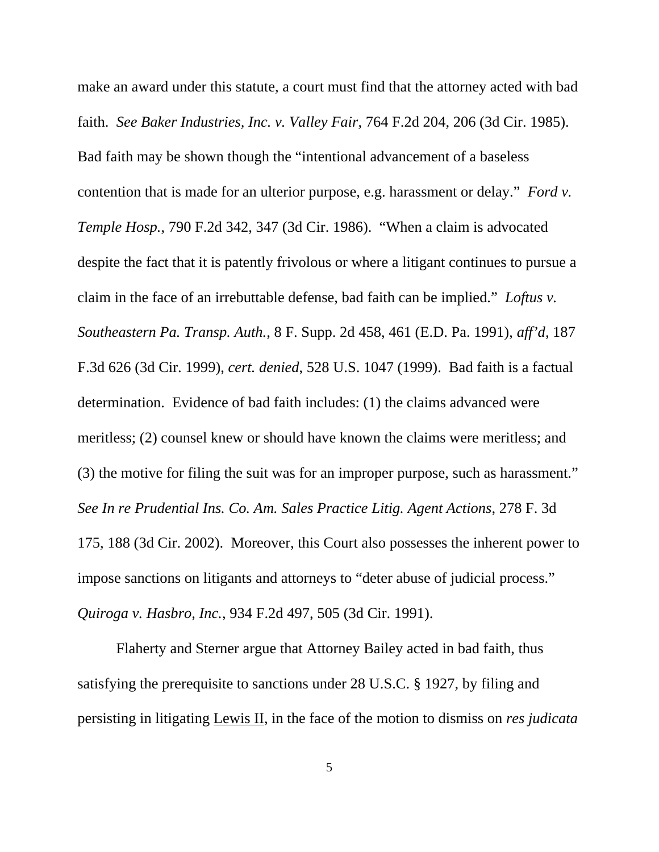make an award under this statute, a court must find that the attorney acted with bad faith. *See Baker Industries, Inc. v. Valley Fair*, 764 F.2d 204, 206 (3d Cir. 1985). Bad faith may be shown though the "intentional advancement of a baseless contention that is made for an ulterior purpose, e.g. harassment or delay." *Ford v. Temple Hosp.*, 790 F.2d 342, 347 (3d Cir. 1986). "When a claim is advocated despite the fact that it is patently frivolous or where a litigant continues to pursue a claim in the face of an irrebuttable defense, bad faith can be implied." *Loftus v. Southeastern Pa. Transp. Auth.*, 8 F. Supp. 2d 458, 461 (E.D. Pa. 1991), *aff'd*, 187 F.3d 626 (3d Cir. 1999), *cert. denied*, 528 U.S. 1047 (1999). Bad faith is a factual determination. Evidence of bad faith includes: (1) the claims advanced were meritless; (2) counsel knew or should have known the claims were meritless; and (3) the motive for filing the suit was for an improper purpose, such as harassment." *See In re Prudential Ins. Co. Am. Sales Practice Litig. Agent Actions*, 278 F. 3d 175, 188 (3d Cir. 2002). Moreover, this Court also possesses the inherent power to impose sanctions on litigants and attorneys to "deter abuse of judicial process." *Quiroga v. Hasbro, Inc.*, 934 F.2d 497, 505 (3d Cir. 1991).

Flaherty and Sterner argue that Attorney Bailey acted in bad faith, thus satisfying the prerequisite to sanctions under 28 U.S.C. § 1927, by filing and persisting in litigating Lewis II, in the face of the motion to dismiss on *res judicata*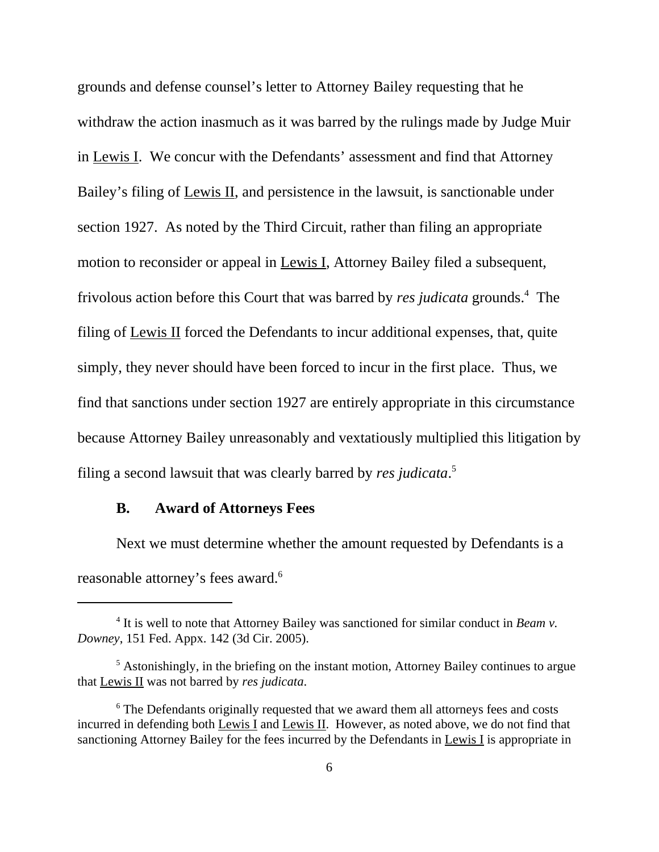grounds and defense counsel's letter to Attorney Bailey requesting that he withdraw the action inasmuch as it was barred by the rulings made by Judge Muir in Lewis I. We concur with the Defendants' assessment and find that Attorney Bailey's filing of Lewis II, and persistence in the lawsuit, is sanctionable under section 1927. As noted by the Third Circuit, rather than filing an appropriate motion to reconsider or appeal in Lewis I, Attorney Bailey filed a subsequent, frivolous action before this Court that was barred by *res judicata* grounds.<sup>4</sup> The filing of Lewis II forced the Defendants to incur additional expenses, that, quite simply, they never should have been forced to incur in the first place. Thus, we find that sanctions under section 1927 are entirely appropriate in this circumstance because Attorney Bailey unreasonably and vextatiously multiplied this litigation by filing a second lawsuit that was clearly barred by *res judicata*. 5

## **B. Award of Attorneys Fees**

Next we must determine whether the amount requested by Defendants is a reasonable attorney's fees award.<sup>6</sup>

<sup>&</sup>lt;sup>4</sup> It is well to note that Attorney Bailey was sanctioned for similar conduct in *Beam v*. *Downey*, 151 Fed. Appx. 142 (3d Cir. 2005).

<sup>&</sup>lt;sup>5</sup> Astonishingly, in the briefing on the instant motion, Attorney Bailey continues to argue that Lewis II was not barred by *res judicata*.

<sup>&</sup>lt;sup>6</sup> The Defendants originally requested that we award them all attorneys fees and costs incurred in defending both Lewis I and Lewis II. However, as noted above, we do not find that sanctioning Attorney Bailey for the fees incurred by the Defendants in Lewis I is appropriate in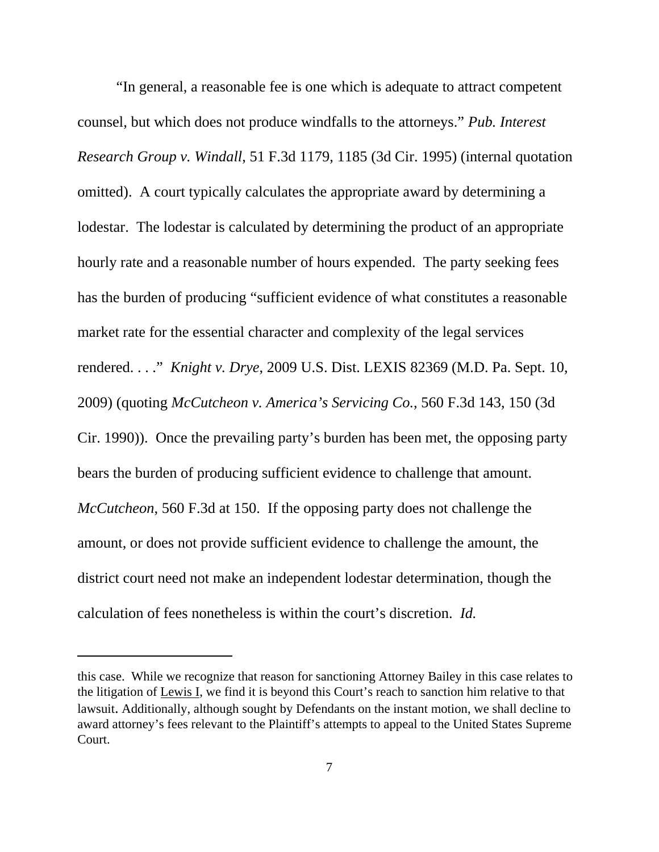"In general, a reasonable fee is one which is adequate to attract competent counsel, but which does not produce windfalls to the attorneys." *Pub. Interest Research Group v. Windall*, 51 F.3d 1179, 1185 (3d Cir. 1995) (internal quotation omitted). A court typically calculates the appropriate award by determining a lodestar. The lodestar is calculated by determining the product of an appropriate hourly rate and a reasonable number of hours expended. The party seeking fees has the burden of producing "sufficient evidence of what constitutes a reasonable market rate for the essential character and complexity of the legal services rendered. . . ." *Knight v. Drye*, 2009 U.S. Dist. LEXIS 82369 (M.D. Pa. Sept. 10, 2009) (quoting *McCutcheon v. America's Servicing Co.*, 560 F.3d 143, 150 (3d Cir. 1990)). Once the prevailing party's burden has been met, the opposing party bears the burden of producing sufficient evidence to challenge that amount. *McCutcheon*, 560 F.3d at 150. If the opposing party does not challenge the amount, or does not provide sufficient evidence to challenge the amount, the district court need not make an independent lodestar determination, though the calculation of fees nonetheless is within the court's discretion. *Id.*

this case. While we recognize that reason for sanctioning Attorney Bailey in this case relates to the litigation of Lewis I, we find it is beyond this Court's reach to sanction him relative to that lawsuit. Additionally, although sought by Defendants on the instant motion, we shall decline to award attorney's fees relevant to the Plaintiff's attempts to appeal to the United States Supreme Court.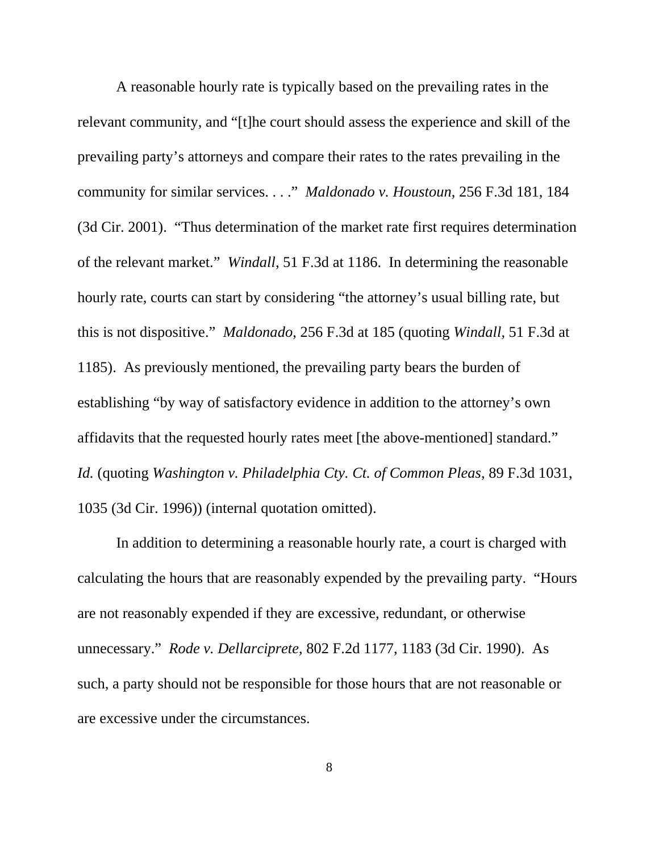A reasonable hourly rate is typically based on the prevailing rates in the relevant community, and "[t]he court should assess the experience and skill of the prevailing party's attorneys and compare their rates to the rates prevailing in the community for similar services. . . ." *Maldonado v. Houstoun*, 256 F.3d 181, 184 (3d Cir. 2001). "Thus determination of the market rate first requires determination of the relevant market." *Windall*, 51 F.3d at 1186. In determining the reasonable hourly rate, courts can start by considering "the attorney's usual billing rate, but this is not dispositive." *Maldonado*, 256 F.3d at 185 (quoting *Windall*, 51 F.3d at 1185). As previously mentioned, the prevailing party bears the burden of establishing "by way of satisfactory evidence in addition to the attorney's own affidavits that the requested hourly rates meet [the above-mentioned] standard." *Id.* (quoting *Washington v. Philadelphia Cty. Ct. of Common Pleas*, 89 F.3d 1031, 1035 (3d Cir. 1996)) (internal quotation omitted).

In addition to determining a reasonable hourly rate, a court is charged with calculating the hours that are reasonably expended by the prevailing party. "Hours are not reasonably expended if they are excessive, redundant, or otherwise unnecessary." *Rode v. Dellarciprete*, 802 F.2d 1177, 1183 (3d Cir. 1990). As such, a party should not be responsible for those hours that are not reasonable or are excessive under the circumstances.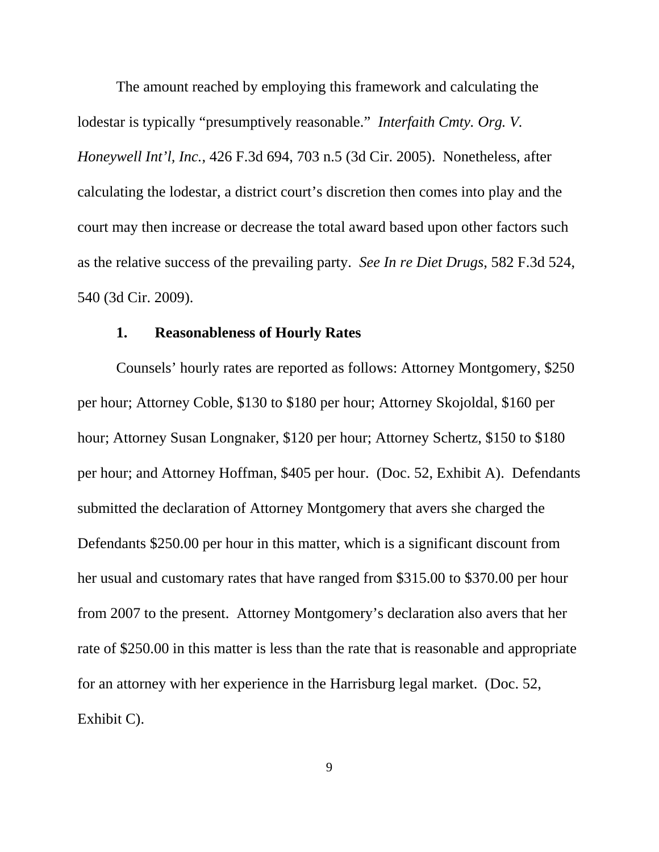The amount reached by employing this framework and calculating the lodestar is typically "presumptively reasonable." *Interfaith Cmty. Org. V. Honeywell Int'l, Inc.*, 426 F.3d 694, 703 n.5 (3d Cir. 2005). Nonetheless, after calculating the lodestar, a district court's discretion then comes into play and the court may then increase or decrease the total award based upon other factors such as the relative success of the prevailing party. *See In re Diet Drugs*, 582 F.3d 524, 540 (3d Cir. 2009).

## **1. Reasonableness of Hourly Rates**

Counsels' hourly rates are reported as follows: Attorney Montgomery, \$250 per hour; Attorney Coble, \$130 to \$180 per hour; Attorney Skojoldal, \$160 per hour; Attorney Susan Longnaker, \$120 per hour; Attorney Schertz, \$150 to \$180 per hour; and Attorney Hoffman, \$405 per hour. (Doc. 52, Exhibit A). Defendants submitted the declaration of Attorney Montgomery that avers she charged the Defendants \$250.00 per hour in this matter, which is a significant discount from her usual and customary rates that have ranged from \$315.00 to \$370.00 per hour from 2007 to the present. Attorney Montgomery's declaration also avers that her rate of \$250.00 in this matter is less than the rate that is reasonable and appropriate for an attorney with her experience in the Harrisburg legal market. (Doc. 52, Exhibit C).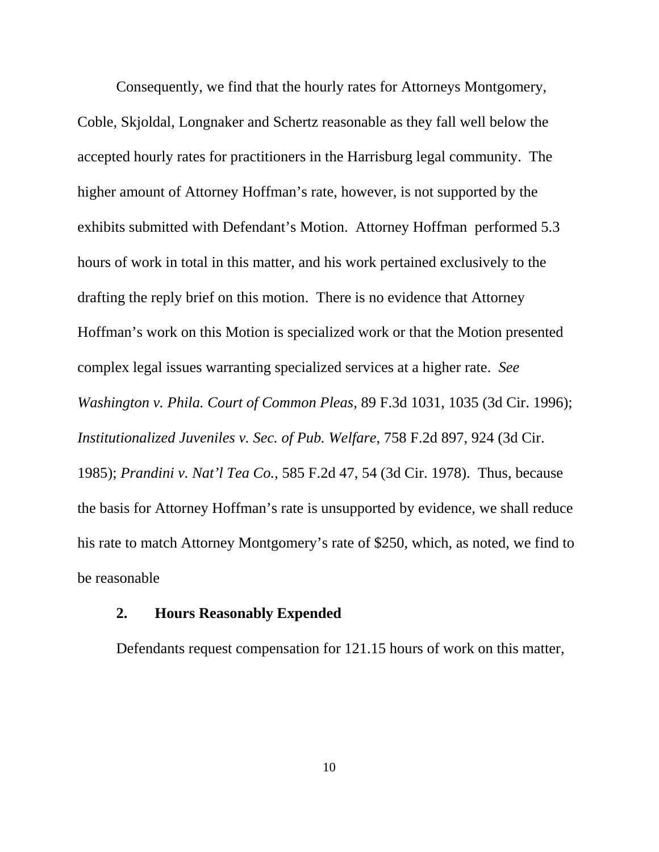Consequently, we find that the hourly rates for Attorneys Montgomery, Coble, Skjoldal, Longnaker and Schertz reasonable as they fall well below the accepted hourly rates for practitioners in the Harrisburg legal community. The higher amount of Attorney Hoffman's rate, however, is not supported by the exhibits submitted with Defendant's Motion. Attorney Hoffman performed 5.3 hours of work in total in this matter, and his work pertained exclusively to the drafting the reply brief on this motion. There is no evidence that Attorney Hoffman's work on this Motion is specialized work or that the Motion presented complex legal issues warranting specialized services at a higher rate. *See Washington v. Phila. Court of Common Pleas*, 89 F.3d 1031, 1035 (3d Cir. 1996); *Institutionalized Juveniles v. Sec. of Pub. Welfare*, 758 F.2d 897, 924 (3d Cir. 1985); *Prandini v. Nat'l Tea Co.*, 585 F.2d 47, 54 (3d Cir. 1978). Thus, because the basis for Attorney Hoffman's rate is unsupported by evidence, we shall reduce his rate to match Attorney Montgomery's rate of \$250, which, as noted, we find to be reasonable

## **2. Hours Reasonably Expended**

Defendants request compensation for 121.15 hours of work on this matter,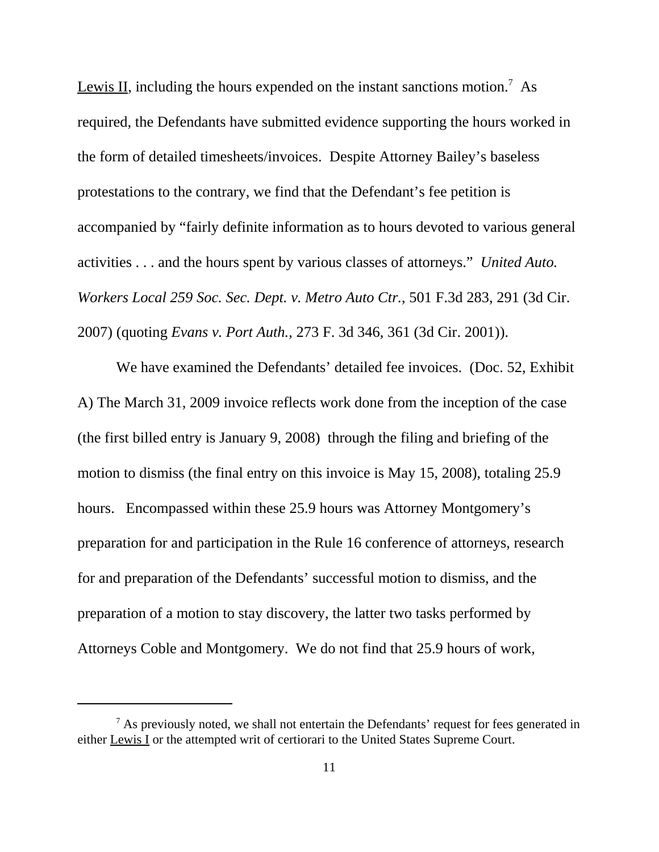Lewis II, including the hours expended on the instant sanctions motion.<sup>7</sup> As required, the Defendants have submitted evidence supporting the hours worked in the form of detailed timesheets/invoices. Despite Attorney Bailey's baseless protestations to the contrary, we find that the Defendant's fee petition is accompanied by "fairly definite information as to hours devoted to various general activities . . . and the hours spent by various classes of attorneys." *United Auto. Workers Local 259 Soc. Sec. Dept. v. Metro Auto Ctr.*, 501 F.3d 283, 291 (3d Cir. 2007) (quoting *Evans v. Port Auth.,* 273 F. 3d 346, 361 (3d Cir. 2001)).

We have examined the Defendants' detailed fee invoices. (Doc. 52, Exhibit A) The March 31, 2009 invoice reflects work done from the inception of the case (the first billed entry is January 9, 2008) through the filing and briefing of the motion to dismiss (the final entry on this invoice is May 15, 2008), totaling 25.9 hours. Encompassed within these 25.9 hours was Attorney Montgomery's preparation for and participation in the Rule 16 conference of attorneys, research for and preparation of the Defendants' successful motion to dismiss, and the preparation of a motion to stay discovery, the latter two tasks performed by Attorneys Coble and Montgomery. We do not find that 25.9 hours of work,

 $<sup>7</sup>$  As previously noted, we shall not entertain the Defendants' request for fees generated in</sup> either Lewis I or the attempted writ of certiorari to the United States Supreme Court.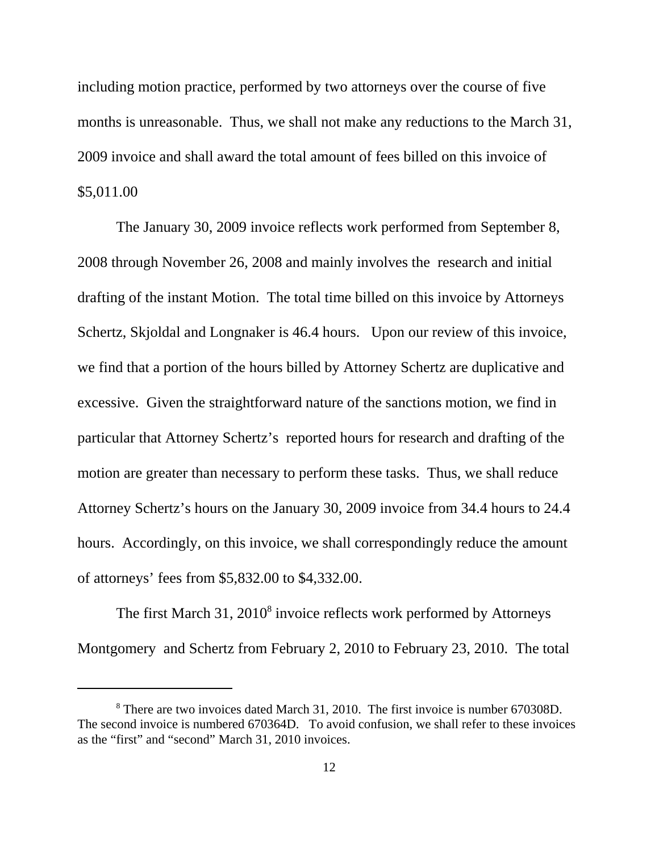including motion practice, performed by two attorneys over the course of five months is unreasonable. Thus, we shall not make any reductions to the March 31, 2009 invoice and shall award the total amount of fees billed on this invoice of \$5,011.00

The January 30, 2009 invoice reflects work performed from September 8, 2008 through November 26, 2008 and mainly involves the research and initial drafting of the instant Motion. The total time billed on this invoice by Attorneys Schertz, Skjoldal and Longnaker is 46.4 hours. Upon our review of this invoice, we find that a portion of the hours billed by Attorney Schertz are duplicative and excessive. Given the straightforward nature of the sanctions motion, we find in particular that Attorney Schertz's reported hours for research and drafting of the motion are greater than necessary to perform these tasks. Thus, we shall reduce Attorney Schertz's hours on the January 30, 2009 invoice from 34.4 hours to 24.4 hours. Accordingly, on this invoice, we shall correspondingly reduce the amount of attorneys' fees from \$5,832.00 to \$4,332.00.

The first March 31, 2010<sup>8</sup> invoice reflects work performed by Attorneys Montgomery and Schertz from February 2, 2010 to February 23, 2010. The total

<sup>&</sup>lt;sup>8</sup> There are two invoices dated March 31, 2010. The first invoice is number 670308D. The second invoice is numbered 670364D. To avoid confusion, we shall refer to these invoices as the "first" and "second" March 31, 2010 invoices.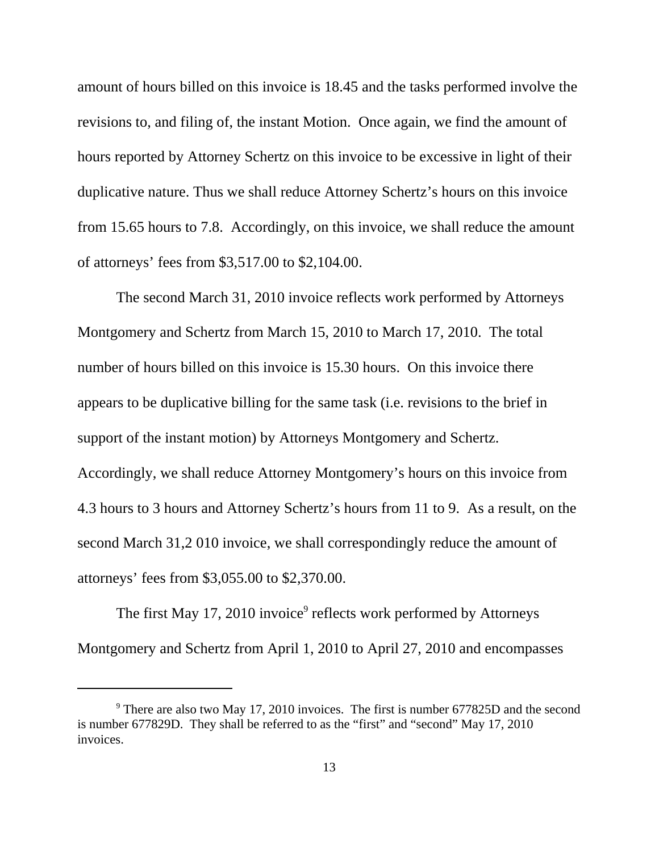amount of hours billed on this invoice is 18.45 and the tasks performed involve the revisions to, and filing of, the instant Motion. Once again, we find the amount of hours reported by Attorney Schertz on this invoice to be excessive in light of their duplicative nature. Thus we shall reduce Attorney Schertz's hours on this invoice from 15.65 hours to 7.8. Accordingly, on this invoice, we shall reduce the amount of attorneys' fees from \$3,517.00 to \$2,104.00.

The second March 31, 2010 invoice reflects work performed by Attorneys Montgomery and Schertz from March 15, 2010 to March 17, 2010. The total number of hours billed on this invoice is 15.30 hours. On this invoice there appears to be duplicative billing for the same task (i.e. revisions to the brief in support of the instant motion) by Attorneys Montgomery and Schertz. Accordingly, we shall reduce Attorney Montgomery's hours on this invoice from 4.3 hours to 3 hours and Attorney Schertz's hours from 11 to 9. As a result, on the second March 31,2 010 invoice, we shall correspondingly reduce the amount of attorneys' fees from \$3,055.00 to \$2,370.00.

The first May 17, 2010 invoice<sup>9</sup> reflects work performed by Attorneys Montgomery and Schertz from April 1, 2010 to April 27, 2010 and encompasses

 $9$  There are also two May 17, 2010 invoices. The first is number 677825D and the second is number 677829D. They shall be referred to as the "first" and "second" May 17, 2010 invoices.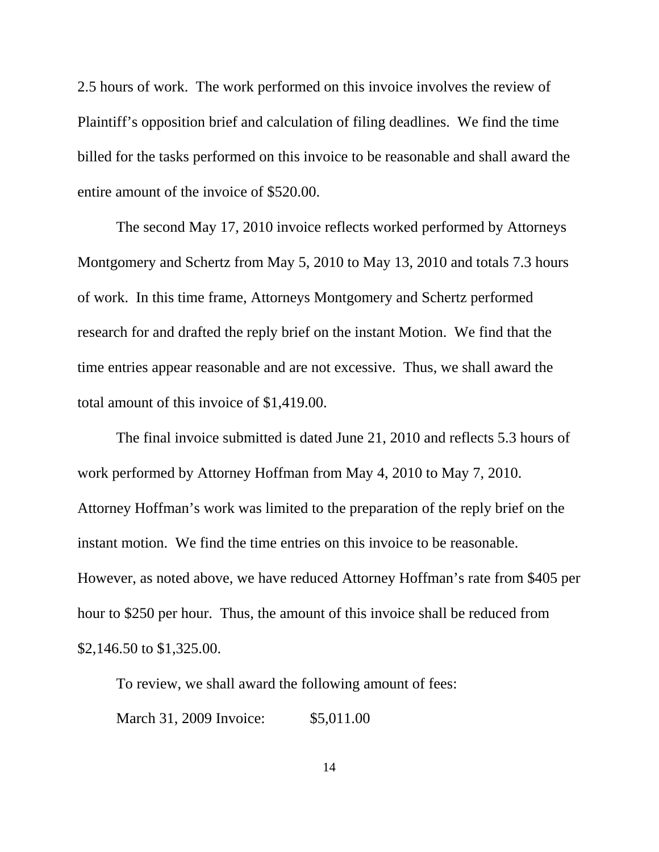2.5 hours of work. The work performed on this invoice involves the review of Plaintiff's opposition brief and calculation of filing deadlines. We find the time billed for the tasks performed on this invoice to be reasonable and shall award the entire amount of the invoice of \$520.00.

The second May 17, 2010 invoice reflects worked performed by Attorneys Montgomery and Schertz from May 5, 2010 to May 13, 2010 and totals 7.3 hours of work. In this time frame, Attorneys Montgomery and Schertz performed research for and drafted the reply brief on the instant Motion. We find that the time entries appear reasonable and are not excessive. Thus, we shall award the total amount of this invoice of \$1,419.00.

The final invoice submitted is dated June 21, 2010 and reflects 5.3 hours of work performed by Attorney Hoffman from May 4, 2010 to May 7, 2010. Attorney Hoffman's work was limited to the preparation of the reply brief on the instant motion. We find the time entries on this invoice to be reasonable. However, as noted above, we have reduced Attorney Hoffman's rate from \$405 per hour to \$250 per hour. Thus, the amount of this invoice shall be reduced from \$2,146.50 to \$1,325.00.

To review, we shall award the following amount of fees:

March 31, 2009 Invoice: \$5,011.00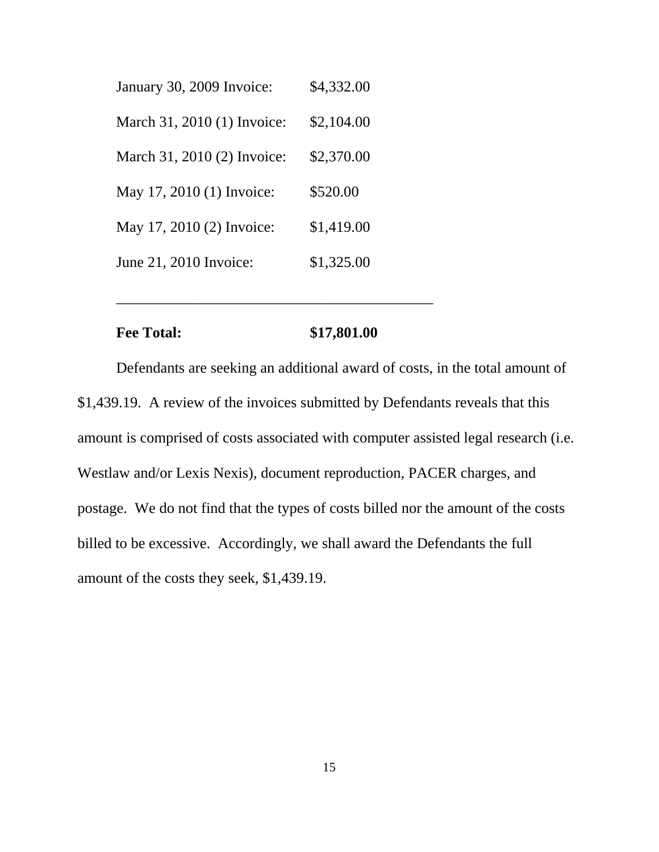| January 30, 2009 Invoice:   | \$4,332.00 |
|-----------------------------|------------|
| March 31, 2010 (1) Invoice: | \$2,104.00 |
| March 31, 2010 (2) Invoice: | \$2,370.00 |
| May 17, 2010 (1) Invoice:   | \$520.00   |
| May 17, 2010 (2) Invoice:   | \$1,419.00 |
| June 21, 2010 Invoice:      | \$1,325.00 |

## **Fee Total:** \$17,801.00

\_\_\_\_\_\_\_\_\_\_\_\_\_\_\_\_\_\_\_\_\_\_\_\_\_\_\_\_\_\_\_\_\_\_\_\_\_\_\_\_\_\_

Defendants are seeking an additional award of costs, in the total amount of \$1,439.19. A review of the invoices submitted by Defendants reveals that this amount is comprised of costs associated with computer assisted legal research (i.e. Westlaw and/or Lexis Nexis), document reproduction, PACER charges, and postage. We do not find that the types of costs billed nor the amount of the costs billed to be excessive. Accordingly, we shall award the Defendants the full amount of the costs they seek, \$1,439.19.